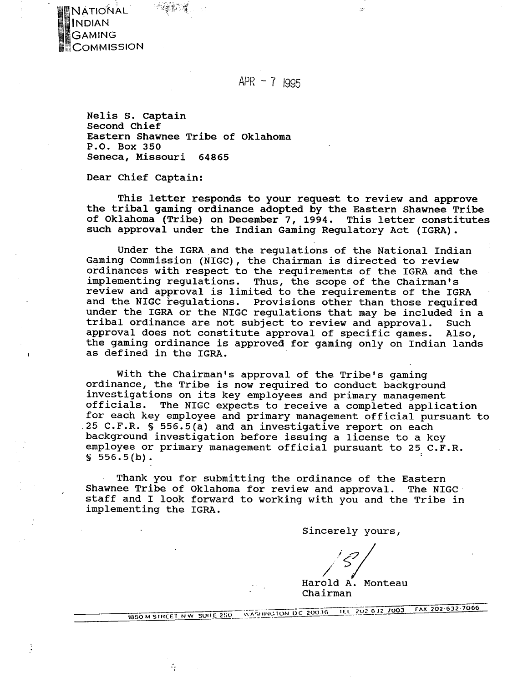

Ĵ

 $APR - 7$  1995

Nelis S. Captain Second Chief Eastern Shawnee Tribe of Oklahoma P.O. Box 350 Seneca, Missouri 64865

Dear Chief Captain:

This letter responds to your request to review and approve the tribal gaming ordinance adopted by the Eastern Shawnee Tribe of Oklahoma (Tribe) on December 7, 1994. This letter constitutes such approval under the Indian Gaming Regulatory Act (IGRA).

Under the IGRA and the regulations of the National Indian Gaming Commission (NIGC), the Chairman is directed to review ordinances with respect to the requirements of the IGRA and the implementing regulations. Thus, the scope of the Chairman's review and approval is limited to the requirements of the IGRA and the NIGC regulations. Provisions other than those required under the IGRA or the NIGC regulations that may be included in a tribal ordinance are not subject to review and approval. Such approval does not constitute approval of specific games. Also, the gaming ordinance is approved for gaming only on Indian lands as defined in the IGRA.

With the Chairman's approval of the Tribe's gaming ordinance, the Tribe is now required to conduct background investigations on its key employees and primary management The NIGC expects to receive a completed application for each key employee and primary management official pursuant to .25 C.F.R. **S** 556.5(a) and an investigative report on each background investigation before issuing a license to a key employee or primary management official pursuant to 25 C.F.R.  $$556.5(b).$ 

Thank you for submitting the ordinance of the Eastern Shawnee Tribe of Oklahoma for review and approval. The NIGC staff and I look forward to working with you and the Tribe in implementing the IGRA.

Sincerely yours,

Harold **i.** Monteau Chairman

1850 M STREET, N.W., SUITE 250 WASHINGTON DC 20036 11L 202 632 7003 FAX 202 632 7006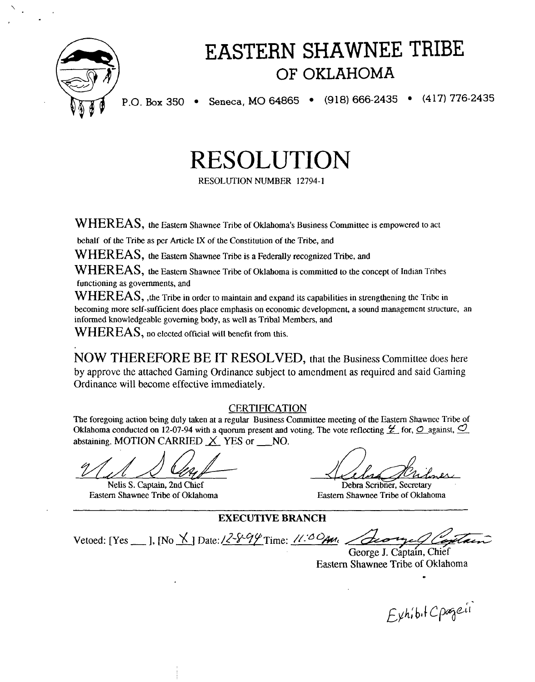

# EASTERN SHAWNEE TRIBE OF OKLAHOMA

P.O. Box 350 • Seneca, MO 64865 • (918) 666-2435 • (417) 776-2435

RESOLUTION

KESO1,UTION NUMBER **12794- 1** 

 $WHEREAS$ , the Eastern Shawnee Tribe of Oklahoma's Business Committee is empowered to act

behalf of the Tribe as **pcr** Article **IX** of the Constitution of the Tribe, and

 $WHEREAS$ , the Eastern Shawnee Tribe is a Federally recognized Tribe, and

WHEREAS, the Eastern Shawnee Tribe of Oklahoma is committed to the concept of Indian Tribes functioning as governments, and

WHEREAS, , the Tribe in order to maintain and expand its capabilities in strengthening the Tribe in becoming more self-sufficient does place emphasis on economic development, a sound management structure, an informed knowledgeable governing body, as well as Tribal Members, and

WHEREAS, no elected official will benefit from this.

NOW THEREFORE BE IT RESOLVED, that the Business Committee does here by approve the attached Gaming Ordinance subject to amendment as required and said Gaming Ordinance will become effective immediately.

# **CERTIFICATION**

The foregoing action being duly taken at a regular Business Committee meeting of the Eastern Shawnec Tribe of Oklahoma conducted on 12-07-94 with a quorum present and voting. The vote reflecting  $\mathcal{L}$  for,  $\mathcal{O}$  against,  $\mathcal{O}$ abstaining. MOTION CARRIED  $X$  YES or NO.

Nelis S. Captain, 2nd Chief<br>Eastern Shawnee Tribe of Oklahoma

Debra Scribner, Secretary Eastern Shawnee Tribe of Oklahoma

**EXECUTIVE BRANCH** 

Vetoed: [Yes \_\_ ], [No  $\angle$ ] Date:  $\angle$   $\angle$   $\frac{\sqrt{2}}{2}$  Time:  $\angle$   $\angle$   $\angle$   $\triangle$   $\angle$   $\angle$   $\angle$ 

George J. Captain, Chief **Eastern** Shawnee Tribe of Oklahoma

Exhibit Cpageii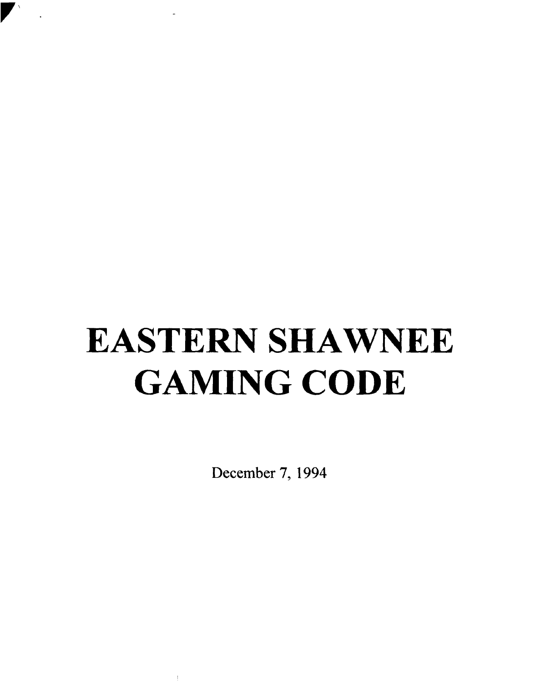# **EASTERN SHAWNEE GAMING CODE**

 $\ddot{\phantom{a}}$ 

**December 7, 1994** 

 $\pm$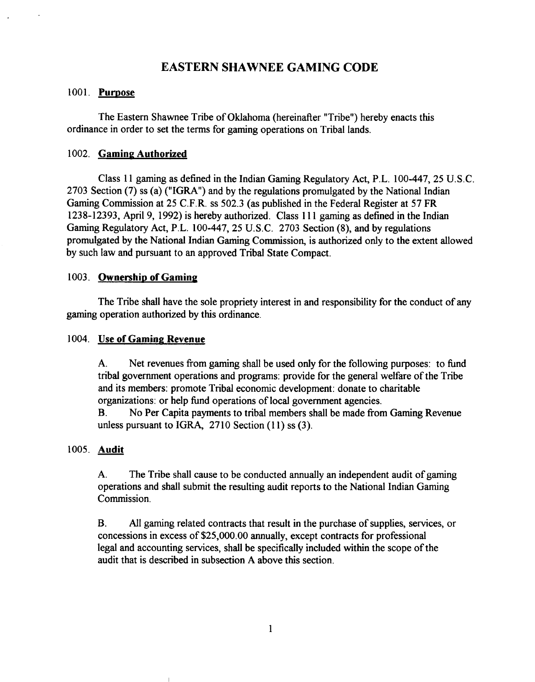# **EASTERN SHAWNEE GAMING CODE**

#### 1001. **Pumose**

The Eastern Shawnee Tribe of Oklahoma (hereinafter "Tribe") hereby enacts this ordinance in order to set the terms for gaming operations on Tribal lands.

# 1002. **Gaming Authorized**

Class 11 gaming as defined in the Indian Gaming Regulatory Act, P.L. 100-447, 25 U.S.C. 2703 Section (7) ss (a) ("IGRA") and by the regulations promulgated by the National Indian Gaming Commission at 25 C.F.R. ss 502.3 (as published in the Federal Register at 57 FR 1238- 12393, April 9, 1992) is hereby authorized. Class 1 1 1 gaming as defined in the Indian Gaming Regulatory Act, P.L. 100-447, 25 U.S.C. 2703 Section **(8),** and by regulations promulgated by the National Indian Gaming Commission, is authorized only to the extent allowed by such law and pursuant to an approved Tribal State Compact.

## 1003. **Ownership of Gaming**

The Tribe shall have the sole propriety interest in and responsibility for the conduct of any gaming operation authorized by this ordinance.

# 1004. **Use of Gaming Revenue**

A. Net revenues from gaming shall be used only for the following purposes: to fund tribal government operations and programs: provide for the general welfare of the Tribe and its members: promote Tribal economic development: donate to charitable organizations: or help hnd operations of local government agencies.

B. No Per Capita payments to tribal members shall be made fiom Gaming Revenue unless pursuant to IGRA, 2710 Section (I **1)** ss (3).

# 1005. **Audit**

A. The Tribe shall cause to be conducted annually an independent audit of gaming operations and shall submit the resulting audit reports to the National Indian Gaming Commission.

**B.** All gaming related contracts that result in the purchase of supplies, services, or concessions in excess of \$25,000.00 annually, except contracts for professional legal and accounting services, shall be specifically included within the scope of the audit that is described in subsection A above this section.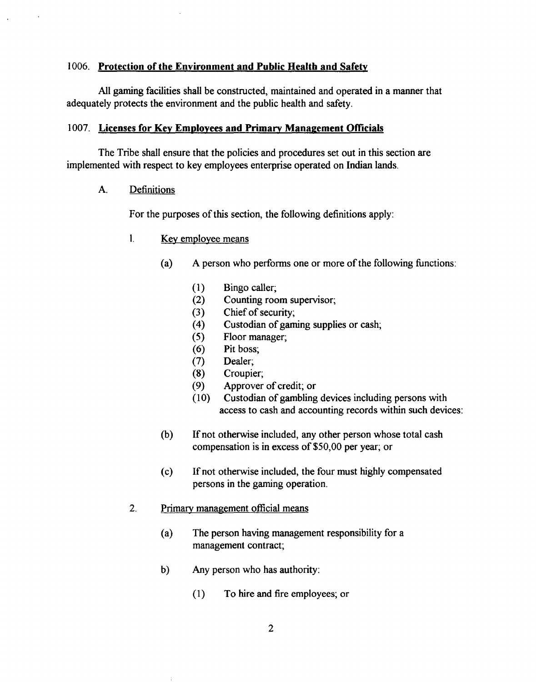# 1006. **Protection of the Environment and Public Health and Safetv**

All gaming facilities shall be constructed, maintained and operated in a manner that adequately protects the environment and the public health and safety.

# 1007. Licenses for Key Employees and Primary Management Officials

The Tribe shall ensure that the policies and procedures set out in this section are implemented with respect to key employees enterprise operated on Indian lands.

A. Definitions

For the purposes of this section, the following definitions apply:

- 1. Kev employee means
	- (a) A person who performs one or more of the following functions:
		- $(1)$ Bingo caller;
		- Counting room supervisor;  $(2)$
		- Chief of security;  $(3)$
		- Custodian of gaming supplies or cash;  $(4)$
		- $(5)$ Floor manager;
		- $(6)$ Pit boss;
		- $(7)$ Dealer;
		- Croupier;  $(8)$
		- Approver of credit; or  $(9)$
		- Custodian of gambling devices including persons with  $(10)$ access to cash and accounting records within such devices:
	- (b) If not otherwise included, any other person whose total cash compensation is in excess of \$50,00 per year; or
	- (c) If not otherwise included, the four must highly compensated persons in the gaming operation.
- 2. Primary management official means
	- (a) The person having management responsibility for a management contract;
	- b) Any person who has authority:
		- (1) To hire and fire employees; or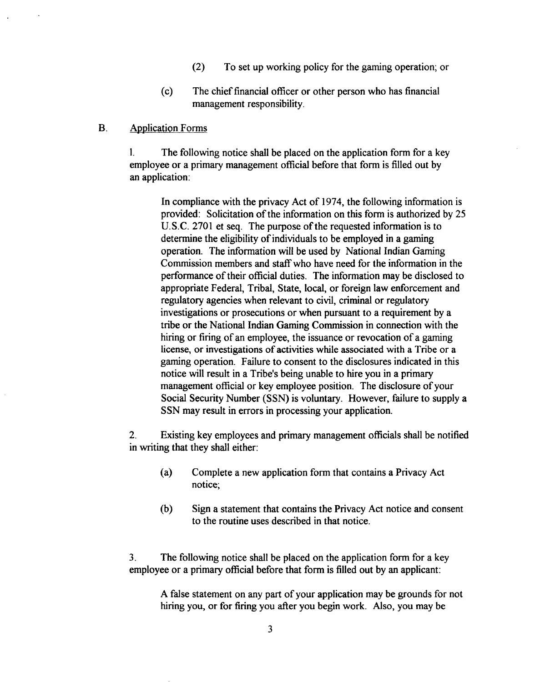- **(2)** To set up working policy for the gaming operation; or
- (c) The chief financial officer or other person who has financial management responsibility.

# B. Application Forms

1. The following notice shall be placed on the application form for a key employee or a primary management official before that form is filled out by an application:

In compliance with the privacy Act of 1974, the following information is provided: Solicitation of the information on this form is authorized by 25 U.S.C. 2701 et seq. The purpose of the requested information is to determine the eligibility of individuals to be employed in a gaming operation. The information will be used by National Indian Gaming Commission members and staff who have need for the information in the performance of their official duties. The information may be disclosed to appropriate Federal, Tribal, State, local, or foreign law enforcement and regulatory agencies when relevant to civil, criminal or regulatory investigations or prosecutions or when pursuant to a requirement by a tribe or the National Indian Gaming Commission in connection with the hiring or firing of an employee, the issuance or revocation of a gaming license, or investigations of activities while associated with a Tribe or a gaming operation. Failure to consent to the disclosures indicated in this notice will result in a Tribe's being unable to hire you in a primary management official or key employee position. The disclosure of your Social Security Number (SSN) is voluntary. However, failure to supply a SSN may result in errors in processing your application.

**2.** Existing key employees and primary management officials shall be notified in writing that they shall either:

- (a) Complete a new application form that contains a Privacy Act notice;
- (b) Sign a statement that contains the Privacy Act notice and consent to the routine uses described in that notice.

**3.** The following notice shall be placed on the application form for a key employee or a primary official before that form is filled out by an applicant:

A false statement on any part of your application may be grounds for not hiring you, or for firing you after you begin work. Also, you may be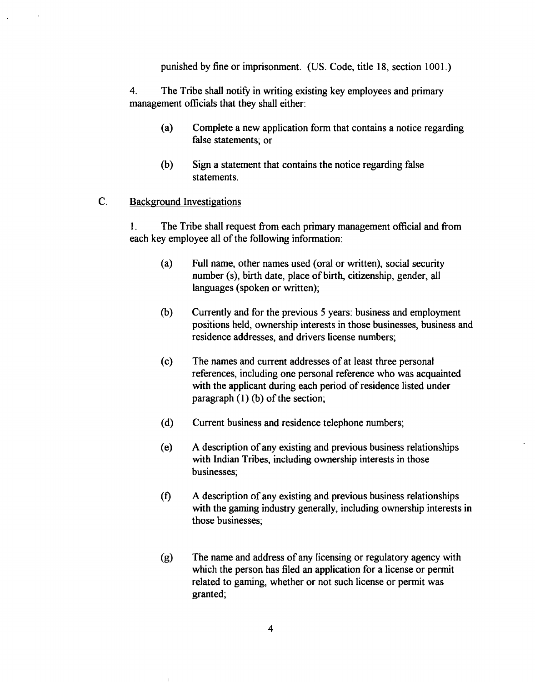punished by fine or imprisonment. (US. Code, title 18, section 1001.)

4. The Tribe shall notify in writing existing key employees and primary management officials that they shall either:

- (a) Complete a new application form that contains a notice regarding false statements; or
- (b) Sign a statement that contains the notice regarding false statements.

#### $\overline{C}$ . Background Investigations

**1.** The Tribe shall request from each primary management official and from each key employee all of the following information:

- (a) Full name, other names used (oral or written), social security number (s), birth date, place of birth, citizenship, gender, all languages (spoken or written);
- (b) Currently and for the previous **5** years: business and employment positions held, ownership interests in those businesses, business and residence addresses, and drivers license numbers;
- (c) The names and current addresses of at least three personal references, including one personal reference who was acquainted with the applicant during each period of residence listed under paragraph (1) (b) of the section;
- (d) Current business and residence telephone numbers;
- (e) A description of any existing and previous business relationships with Indian Tribes, including ownership interests in those businesses;
- $(0)$  A description of any existing and previous business relationships with the gaming industry generally, including ownership interests in those businesses;
- **(g)** The name and address of any licensing or regulatory agency with which the person has filed an application for a license or permit related to gaming, whether or not such license or permit was granted;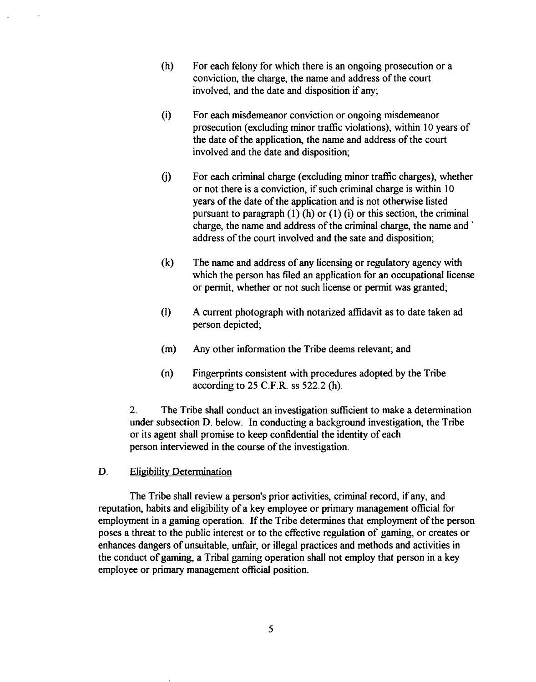- (h) For each felony for which there is an ongoing prosecution or a conviction, the charge, the name and address of the court involved, and the date and disposition if any;
- (i) For each misdemeanor conviction or ongoing misdemeanor prosecution (excluding minor traffic violations), within 10 years of the date of the application, the name and address of the court involved and the date and disposition;
- (j) For each criminal charge (excluding minor traffic charges), whether or not there is a conviction, if such criminal charge is within 10 years of the date of the application and is not otherwise listed pursuant to paragraph  $(1)$  (h) or  $(1)$  (i) or this section, the criminal charge, the name and address of the criminal charge, the name and ' address of the court involved and the sate and disposition;
- **(k)** The name and address of any licensing or regulatory agency with which the person has filed an application for an occupational license or permit, whether or not such license or permit was granted;
- (1) A current photograph with notarized affidavit as to date taken ad person depicted;
- (m) Any other information the Tribe deems relevant; and
- (n) Fingerprints consistent with procedures adopted by the Tribe according to  $25$  C.F.R. ss  $522.2$  (h).

**2.** The Tribe shall conduct an investigation sufficient to make a determination under subsection D. below. In conducting a background investigation, the Tribe or its agent shall promise to keep confidential the identity of each person interviewed in the course of the investigation.

## D. Eligibility Determination

The Tribe shall review a person's prior activities, criminal record, if any, and reputation, habits and eligibility of a key employee or primary management official for employment in a gaming operation. If the Tribe determines that employment of the person poses a threat to the public interest or to the effective regulation of gaming, or creates or enhances dangers of unsuitable, unfair, or illegal practices and methods and activities in the conduct of gaming, a Tribal gaming operation shall not employ that person in a key employee or primary management official position.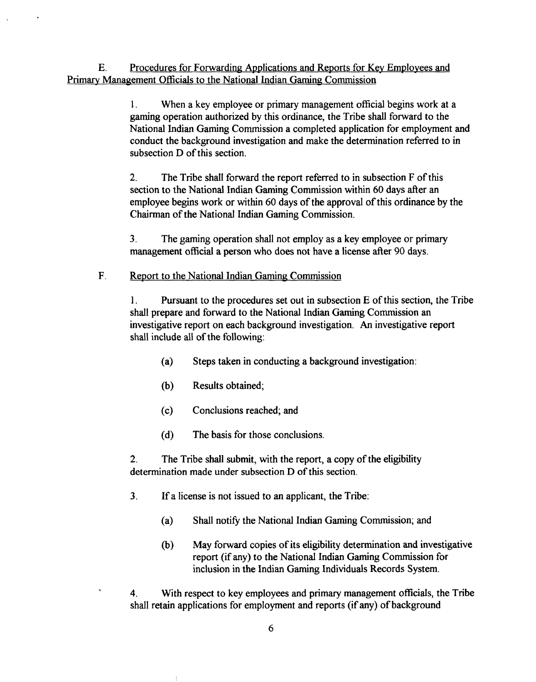E. Procedures for Forwarding Applications and Reports for Key Employees and Primary Management Officials to the National Indian Gaming Commission

> 1. When a key employee or primary management official begins work at a gaming operation authorized by this ordinance, the Tribe shall forward to the National Indian Gaming Commission a completed application for employment and conduct the background investigation and make the determination referred to in subsection D of this section.

**2.** The Tribe shall forward the report referred to in subsection F of this section to the National Indian Gaming Commission within 60 days after an employee begins work or within 60 days of the approval of this ordinance by the Chairman of the National Indian Gaming Commission.

**3.** The gaming operation shall not employ as a key employee or primary management official a person who does not have a license after 90 days.

# F. **Report to the National Indian Gaming Commission**

**1.** Pursuant to the procedures set out in subsection E of this section, the Tribe shall prepare and forward to the National Indian Gaming Commission an investigative report on each background investigation. An investigative report shall include all of the following:

- (a) Steps taken in conducting a background investigation:
- (b) Results obtained;
- (c) Conclusions reached; and
- (d) The basis for those conclusions.

**2.** The Tribe shall submit, with the report, a copy of the eligibility determination made under subsection D of this section.

- **3.** If a license is not issued to an applicant, the Tribe:
	- (a) Shall notify the National Indian Gaming Commission; and
	- (b) May forward copies of its eligibility determination and investigative report (if any) to the National Indian Gaming Commission for inclusion in the Indian Gaming Individuals Records System.

**4.** With respect to key employees and primary management officials, the Tribe shall retain applications for employment and reports (if any) of background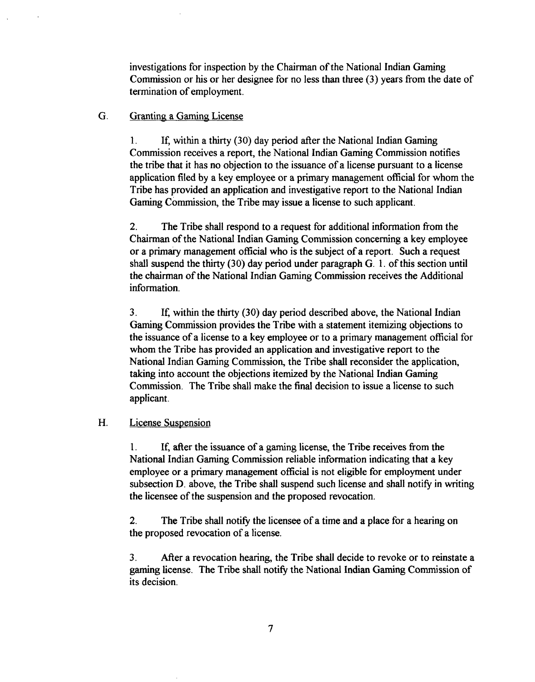investigations for inspection by the Chairman of the National Indian Gaming Commission or his or her designee for no less than three **(3)** years from the date of termination of employment.

# G. Granting a Gaming License

1. If, within a thirty **(30)** day period after the National Indian Gaming Commission receives a report, the National Indian Gaming Commission notifies the tribe that it has no objection to the issuance of a license pursuant to a license application filed by a key employee or a primary management official for whom the Tribe has provided an application and investigative report to the National Indian Gaming Commission, the Tribe may issue a license to such applicant.

**2.** The Tribe shall respond to a request for additional information from the Chairman of the National Indian Gaming Commission concerning a key employee or a primary management official who is the subject of a report. Such a request shall suspend the thirty **(30)** day period under paragraph G. 1. of this section until the chairman of the National Indian Gaming Commission receives the Additional information.

**3.** If, within the thirty **(30)** day period described above, the National Indian Gaming Commission provides the Tribe with a statement itemizing objections to the issuance of a license to a key employee or to a primary management official for whom the Tribe has provided an application and investigative report to the National Indian Gaming Commission, the Tribe shall reconsider the application, taking into account the objections itemized by the National Indian Gaming Commission. The Tribe shall make the final decision to issue a license to such applicant.

# H. License Suspension

1. If, after the issuance of a gaming license, the Tribe receives from the National Indian Gaming Commission reliable information indicating that a key employee or a primary management official is not eligible for employment under subsection D. above, the Tribe shall suspend such license and shall notify in writing the licensee of the suspension and the proposed revocation.

2. The Tribe shall notify the licensee of a time and a place for a hearing on the proposed revocation of a license.

**3.** After a revocation hearing, the Tribe shall decide to revoke or to reinstate a gaming license. The Tribe shall notify the National Indian Gaming Commission of its decision.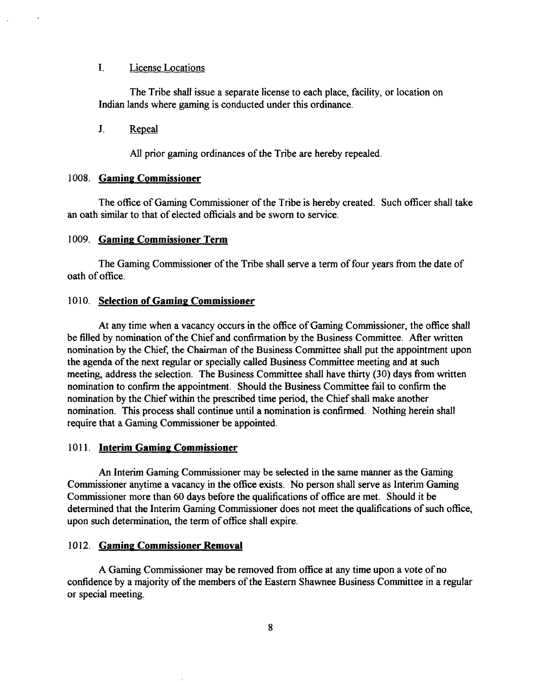#### I. License Locations

The Tribe shall issue a separate license to each place, facility, or location on Indian lands where gaming is conducted under this ordinance.

 $J_{-}$ Repeal

**All** prior gaming ordinances of the Tribe are hereby repealed.

#### 1008. **Gaming Commissioner**

The office of Gaming Commissioner of the Tribe is hereby created. Such officer shall take an oath similar to that of elected officials and be sworn to service.

#### 1009. **Gaming Commissioner Term**

The Gaming Commissioner of the Tribe shall serve a term of four years fiom the date of oath of office.

#### 1010. **Selection of Gaming Commissioner**

At any time when a vacancy occurs in the office of Gaming Commissioner, the office shall be filled by nomination of the Chief and confirmation by the Business Committee. After written nomination by the Chief, the Chairman of the Business Committee shall put the appointment upon the agenda of the next regular or specially called Business Committee meeting and at such meeting, address the selection. The Business Committee shall have thirty (30) days from written nomination to confirm the appointment. Should the Business Committee fail to confirm the nomination by the Chief within the prescribed time period, the Chief shall make another nomination. This process shall continue until a nomination is confirmed. Nothing herein shall require that a Gaming Commissioner be appointed.

#### 1011. **Interim Gaming Commissioner**

An Interim Gaming Commissioner may be selected in the same manner as the Gaming Commissioner anytime a vacancy in the office exists. No person shall serve as Interim Gaming Commissioner more than 60 days before the qualifications of office are met. Should it be determined that the Interim Gaming Commissioner does not meet the qualifications of such office, upon such determination, the term of office shall expire.

### 1012. **Gaming Commissioner Removal**

A Gaming Commissioner may be removed from office at any time upon a vote of no confidence by a majority of the members of the Eastern Shawnee Business Committee in a regular or special meeting.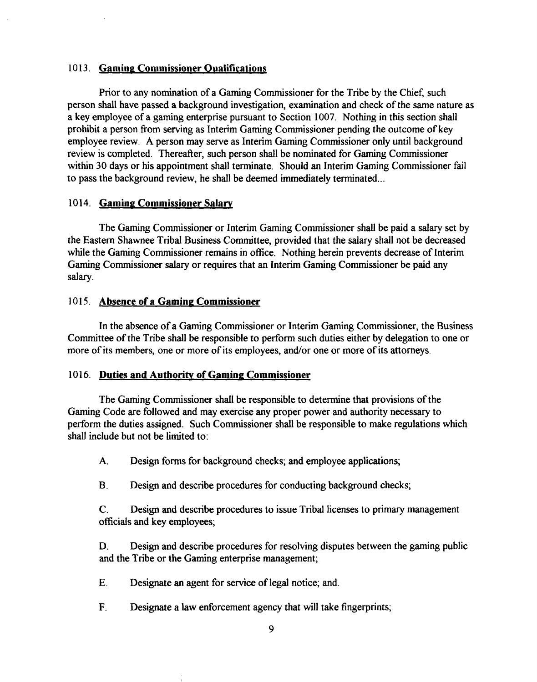# 10 13. **Gamine Commissioner Qualifications**

Prior to any nomination of a Gaming Commissioner for the Tribe by the Chief, such person shall have passed a background investigation, examination and check of the same nature as a key employee of a gaming enterprise pursuant to Section 1007. Nothing in this section shall prohibit a person fiom serving as Interim Gaming Commissioner pending the outcome of key employee review. A person may serve as Interim Gaming Commissioner only until background review is completed. Thereafter, such person shall be nominated for Gaming Commissioner within 30 days or his appointment shall terminate. Should an Interim Gaming Commissioner fail to pass the background review, he shall be deemed immediately terminated ...

# 1014. **Gaming Commissioner Salary**

The Gaming Commissioner or Interim Gaming Commissioner shall be paid a salary set by the Eastern Shawnee Tribal Business Committee, provided that the salary shall not be decreased while the Gaming Commissioner remains in office. Nothing herein prevents decrease of Interim Gaming Commissioner salary or requires that an Interim Gaming Commissioner be paid any salary.

# 1015. Absence of a Gaming Commissioner

In the absence of a Gaming Commissioner or Interim Gaming Commissioner, the Business Committee of the Tribe shall be responsible to perform such duties either by delegation to one or more of its members, one or more of its employees, and/or one or more of its attorneys.

# 1016. Duties and Authority of Gaming Commissioner

The Gaming Commissioner shall be responsible to determine that provisions of the Gaming Code are followed and may exercise any proper power and authority necessary to perform the duties assigned. Such Commissioner shall be responsible to make regulations which shall include but not be limited to:

**A.** Design forms for background checks; and employee applications;

B. Design and describe procedures for conducting background checks;

C. Design and describe procedures to issue Tribal licenses to primary management officials and key employees;

**D.** Design and describe procedures for resolving disputes between the gaming public and the Tribe or the Gaming enterprise management;

- **E.** Designate an agent for service of legal notice; and.
- **F.** Designate a law enforcement agency that will take fingerprints;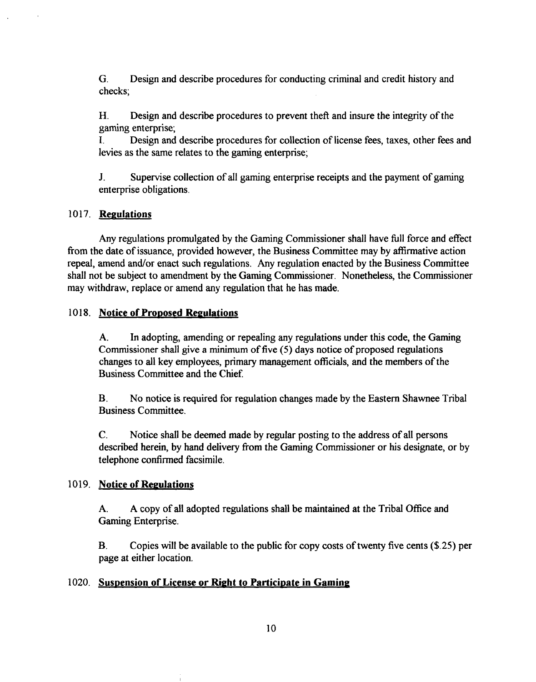G. Design and describe procedures for conducting criminal and credit history and checks;

**H.** Design and describe procedures to prevent theft and insure the integrity of the gaming enterprise;

I. Design and describe procedures for collection of license fees, taxes, other fees and levies as the same relates to the gaming enterprise;

**J.** Supervise collection of all gaming enterprise receipts and the payment of gaming enterprise obligations.

# 10 17. **Regulations**

Any regulations promulgated by the Gaming Commissioner shall have full force and effect fiom the date of issuance, provided however, the Business Committee may by affirmative action repeal, amend and/or enact such regulations. Any regulation enacted by the Business Committee shall not be subject to amendment by the Gaming Commissioner. Nonetheless, the Commissioner may withdraw, replace or amend any regulation that he has made.

# **1018.** Notice of Proposed Regulations

**A.** In adopting, amending or repealing any regulations under this code, the Gaming Commissioner shall give a **minimum** of five (5) days notice of proposed regulations changes to all key employees, primary management officials, and the members of the Business Committee and the Chief.

B. No notice is required for regulation changes made by the Eastern Shawnee Tribal Business Committee.

C. Notice shall be deemed made by regular posting to the address of all persons described herein, by hand delivery fiom the Gaming Commissioner or his designate, or by telephone confirmed facsimile.

# 1019. **Notice of Regulations**

**A. A** copy of all adopted regulations shall be maintained at the Tribal Office and Gaming Enterprise.

B. Copies will be available to the public for copy costs of twenty five cents (\$.25) per page at either location.

# 1020. **Suspension of License or Right to Participate in Gaming**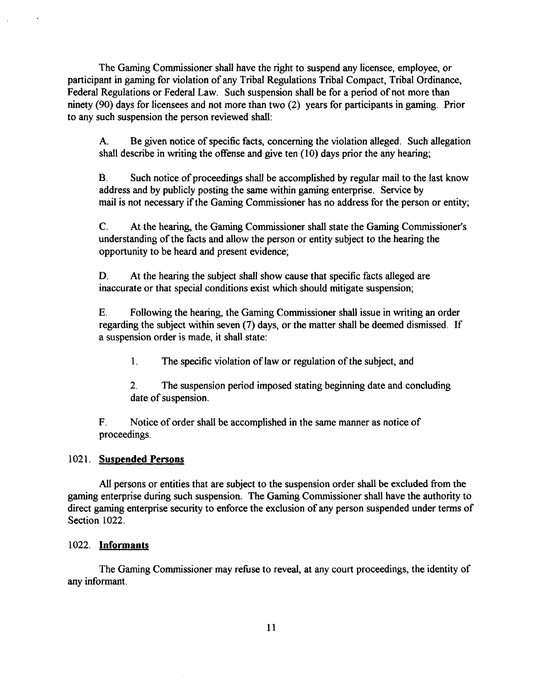The Gaming Commissioner shall have the right to suspend any licensee, employee, or participant in gaming for violation of any Tribal Regulations Tribal Compact, Tribal Ordinance, Federal Regulations or Federal Law. Such suspension shall be for a period of not more than ninety (90) days for licensees and not more than two (2) years for participants in gaming. Prior to any such suspension the person reviewed shall:

**A.** Be given notice of specific facts, concerning the violation alleged. Such allegation shall describe in writing the offense and give ten (10) days prior the any hearing;

**B.** Such notice of proceedings shall be accomplished by regular mail to the last know address and by publicly posting the same within gaming enterprise. Service by mail is not necessary if the Gaming Commissioner has no address for the person or entity;

C. At the hearing, the Gaming Commissioner shall state the Gaming Commissioner's understanding of the facts and allow the person or entity subject to the hearing the opportunity to be heard and present evidence;

**D.** At the hearing the subject shall show cause that specific facts alleged are inaccurate or that special conditions exist which should mitigate suspension;

**E.** Following the hearing, the Gaming Commissioner shall issue in writing an order regarding the subject within seven (7) days, or the matter shall be deemed dismissed. If a suspension order is made, it shall state:

1. The specific violation of law or regulation of the subject, and

**2.** The suspension period imposed stating beginning date and concluding date of suspension.

F. Notice of order shall be accomplished in the same manner as notice of proceedings.

# 1021. **Suspended Persons**

All persons or entities that are subject to the suspension order shall be excluded fiom the gaming enterprise during such suspension. The Gaming Commissioner shall have the authority to direct gaming enterprise security to enforce the exclusion of any person suspended under terms of Section 1022.

# 1022. **Informants**

The Gaming Commissioner may refuse to reveal, at any court proceedings, the identity of any informant.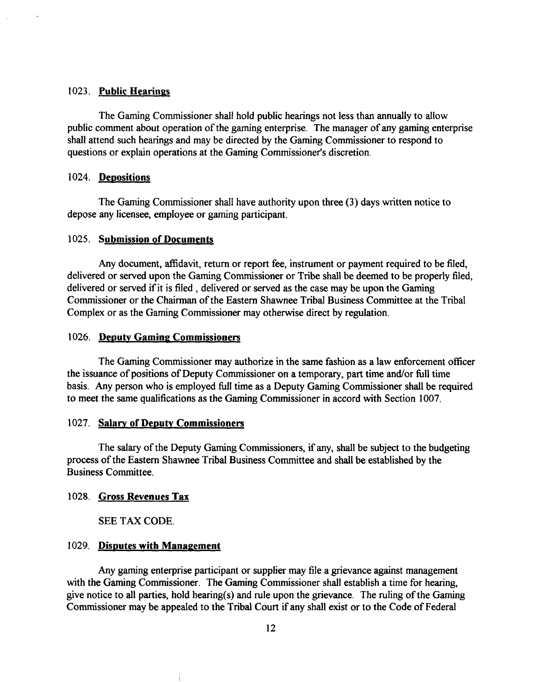# 1023. **Public Hearings**

The Gaming Commissioner shall hold public hearings not less than annually to allow public comment about operation of the gaming enterprise. The manager of any gaming enterprise shall attend such hearings and may be directed by the Gaming Commissioner to respond to questions or explain operations at the Gaming Commissioner's discretion.

#### 1024. Depositions

The Gaming Commissioner shall have authority upon three (3) days written notice to depose any licensee, employee or gaming participant.

# 1025. **Submission of Documents**

Any document, affidavit, return or report fee, instrument or payment required to be filed, delivered or served upon the Gaming Commissioner or Tribe shall be deemed to be properly filed, delivered or served if it is filed , delivered or served as the case may be upon the Gaming Commissioner or the Chairman of the Eastern Shawnee Tribal Business Committee at the Tribal Complex or as the Gaming Commissioner may otherwise direct by regulation.

#### 1026. **Deputy Gaming Commissioners**

The Gaming Commissioner may authorize in the same fashion as a law enforcement officer the issuance of positions of Deputy Commissioner on a temporary, part time and/or full time basis. Any person who is employed full time as a Deputy Gaming Commissioner shall be required to meet the same qualifications as the Gaming Commissioner in accord with Section 1007.

#### 1027. **Salary of Deputy Commissioners**

The salary of the Deputy Gaming Commissioners, if any, shall be subject to the budgeting process of the Eastern Shawnee Tribal Business Committee and shall be established by the Business Committee.

# 1028. **Gross Revenues** Tax

SEE TAX CODE.

# 1029. Disputes with Management

Any gaming enterprise participant or supplier may file a grievance against management with the Gaming Commissioner. The Gaming Commissioner shall establish a time for hearing, give notice to all parties, hold hearing(s) and rule upon the grievance. The ruling of the Gaming Commissioner may be appealed to the Tribal Court if any shall exist or to the Code of Federal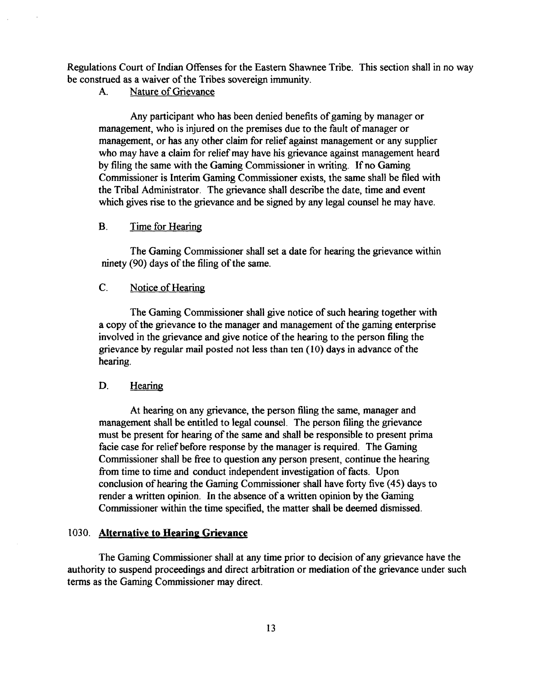Regulations Court of Indian Offenses for the Eastern Shawnee Tribe. This section shall in no way be construed as a waiver of the Tribes sovereign immunity.

# A. Nature of Grievance

Any participant who has been denied benefits of gaming by manager or management, who is injured on the premises due to the fault of manager or management, or has any other claim for relief against management or any supplier who may have a claim for relief may have his grievance against management heard by filing the same with the Gaming Commissioner in writing. If no Gaming Commissioner is Interim Gaming Commissioner exists, the same shall be filed with the Tribal Administrator. The grievance shall describe the date, time and event which gives rise to the grievance and be signed by any legal counsel he may have.

# B. Time for Hearing

The Gaming Commissioner shall set a date for hearing the grievance within ninety (90) days of the filing of the same.

# C. Notice of Hearing

The Gaming Commissioner shall give notice of such hearing together with a copy of the grievance to the manager and management of the gaming enterprise involved in the grievance and give notice of the hearing to the person filing the grievance by regular mail posted not less than ten (10) days in advance of the hearing.

# D. Hearing

At hearing on any grievance, the person filing the same, manager and management shall be entitled to legal counsel. The person filing the grievance must be present for hearing of the same and shall be responsible to present prima facie case for relief before response by the manager is required. The Gaming Commissioner shall be free to question any person present, continue the hearing ffom time to time and conduct independent investigation of facts. Upon conclusion of hearing the Gaming Commissioner shall have forty five (45) days to render a written opinion. In the absence of a written opinion by the Gaming Commissioner within the time specified, the matter shall be deemed dismissed.

# 1030. **Alternative to Hearing Grievance**

The Gaming Commissioner shall at any time prior to decision of any grievance have the authority to suspend proceedings and direct arbitration or mediation of the grievance under such terms as the Gaming Commissioner may direct.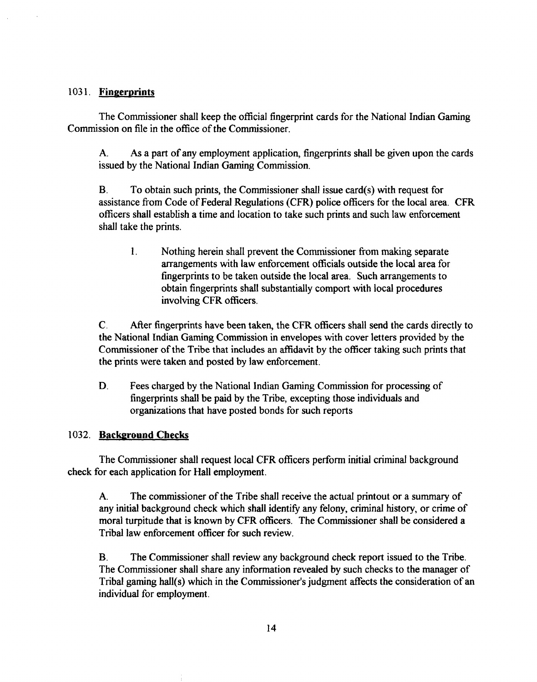# **103 1. Fingerprints**

The Commissioner shall keep the official fingerprint cards for the National Indian Gaming Commission on file in the office of the Commissioner.

**A.** As a part of any employment application, fingerprints shall be given upon the cards issued by the National Indian Gaming Commission.

**B.** To obtain such prints, the Commissioner shall issue card(s) with request for assistance from Code of Federal Regulations (CFR) police officers for the local area. CFR officers shall establish a time and location to take such prints and such law enforcement shall take the prints.

1. Nothing herein shall prevent the Commissioner from making separate arrangements with law enforcement officials outside the local area for fingerprints to be taken outside the local area. Such arrangements to obtain fingerprints shall substantially comport with local procedures involving CFR officers.

C. After fingerprints have been taken, the CFR officers shall send the cards directly to the National Indian Gaming Commission in envelopes with cover letters provided by the Commissioner of the Tribe that includes an affidavit by the officer taking such prints that the prints were taken and posted by law enforcement.

**D.** Fees charged by the National Indian Gaming Commission for processing of fingerprints shall be paid by the Tribe, excepting those individuals and organizations that have posted bonds for such reports

# **1032. Background Checks**

The Commissioner shall request local **CFR** officers perform initial criminal background check for each application for Hall employment.

**A.** The commissioner of the Tribe shall receive the actual printout or a summary of any initial background check which shall identify any felony, criminal history, or crime of moral turpitude that is known by CFR officers. The Commissioner shall be considered a Tribal law enforcement officer for such review.

B. The Commissioner shall review any background check report issued to the Tribe. The Commissioner shall share any information revealed by such checks to the manager of Tribal gaming hall(s) which in the Commissioner's judgment affects the consideration of an individual for employment.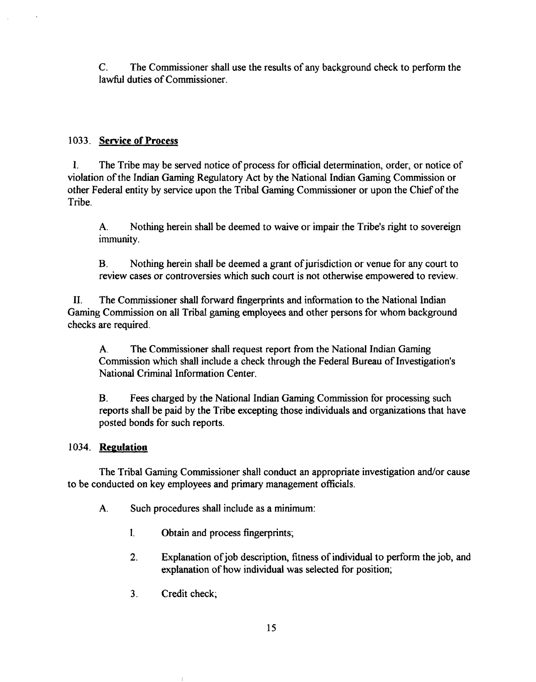C. The Commissioner shall use the results of any background check to perform the lawful duties of Commissioner.

# **1033. Service of Process**

1. The Tribe may be served notice of process for official determination, order, or notice of violation of the Indian Gaming Regulatory Act by the National Indian Gaming Commission or other Federal entity by service upon the Tribal Gaming Commissioner or upon the Chief of the Tribe.

**A.** Nothing herein shall be deemed to waive or impair the Tribe's right to sovereign immunity.

**B.** Nothing herein shall be deemed a grant of jurisdiction or venue for any court to review cases or controversies which such court is not otherwise empowered to review.

11. The Commissioner shall forward fingerprints and information to the National Indian Gaming Commission on all Tribal gaming employees and other persons for whom background checks are required.

**A.** The Commissioner shall request report from the National Indian Gaming Commission which shall include a check through the Federal Bureau of Investigation's National Criminal Information Center.

**B.** Fees charged by the National Indian Gaming Commission for processing such reports shall be paid by the Tribe excepting those individuals and organizations that have posted bonds for such reports.

# **1034. Regulation**

The Tribal Gaming Commissioner shall conduct an appropriate investigation and/or cause to be conducted on key employees and primary management officials.

- **A.** Such procedures shall include as a minimum:
	- 1. Obtain and process fingerprints;
	- **2.** Explanation ofjob description, fitness of individual to perform the job, and explanation of how individual was selected for position;
	- 3. Credit check;